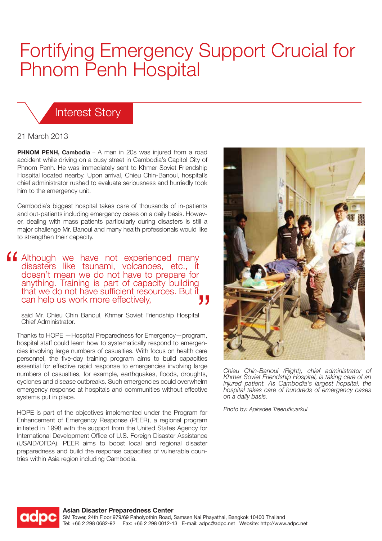## Fortifying Emergency Support Crucial for Phnom Penh Hospital

## Interest Story

## 21 March 2013

**PHNOM PENH, Cambodia** – A man in 20s was injured from a road accident while driving on a busy street in Cambodia's Capitol City of Phnom Penh. He was immediately sent to Khmer Soviet Friendship Hospital located nearby. Upon arrival, Chieu Chin-Banoul, hospital's chief administrator rushed to evaluate seriousness and hurriedly took him to the emergency unit.

Cambodia's biggest hospital takes care of thousands of in-patients and out-patients including emergency cases on a daily basis. However, dealing with mass patients particularly during disasters is still a major challenge Mr. Banoul and many health professionals would like to strengthen their capacity.

**Although we have not experienced many** disasters like tsunami, volcanoes, etc., doesn't mean we do not have to prepare for anything. Training is part of capacity building that we do not have sufficient resources. But it can help us work more effectively,

said Mr. Chieu Chin Banoul, Khmer Soviet Friendship Hospital Chief Administrator.

Thanks to HOPE —Hospital Preparedness for Emergency—program, hospital staff could learn how to systematically respond to emergencies involving large numbers of casualties. With focus on health care personnel, the five-day training program aims to build capacities essential for effective rapid response to emergencies involving large numbers of casualties, for example, earthquakes, floods, droughts, cyclones and disease outbreaks. Such emergencies could overwhelm emergency response at hospitals and communities without effective systems put in place.

HOPE is part of the objectives implemented under the Program for Enhancement of Emergency Response (PEER), a regional program initiated in 1998 with the support from the United States Agency for International Development Office of U.S. Foreign Disaster Assistance (USAID/OFDA). PEER aims to boost local and regional disaster preparedness and build the response capacities of vulnerable countries within Asia region including Cambodia.



*Chieu Chin-Banoul (Right), chief administrator of Khmer Soviet Friendship Hospital, is taking care of an injured patient. As Cambodia's largest hopsital, the hospital takes care of hundreds of emergency cases on a daily basis.*

*Photo by: Apiradee Treerutkuarkul*